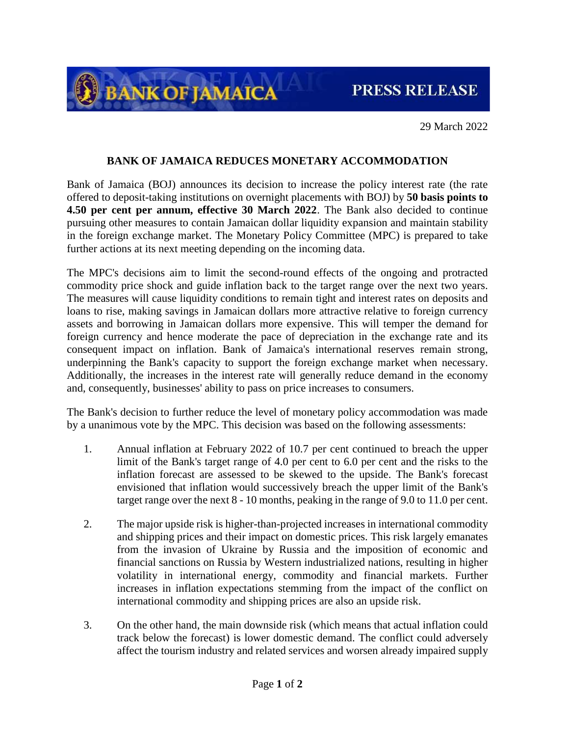PRESS RELEASE

29 March 2022

## **BANK OF JAMAICA REDUCES MONETARY ACCOMMODATION**

**BANK OF JAMAICA** 

Bank of Jamaica (BOJ) announces its decision to increase the policy interest rate (the rate offered to deposit-taking institutions on overnight placements with BOJ) by **50 basis points to 4.50 per cent per annum, effective 30 March 2022**. The Bank also decided to continue pursuing other measures to contain Jamaican dollar liquidity expansion and maintain stability in the foreign exchange market. The Monetary Policy Committee (MPC) is prepared to take further actions at its next meeting depending on the incoming data.

The MPC's decisions aim to limit the second-round effects of the ongoing and protracted commodity price shock and guide inflation back to the target range over the next two years. The measures will cause liquidity conditions to remain tight and interest rates on deposits and loans to rise, making savings in Jamaican dollars more attractive relative to foreign currency assets and borrowing in Jamaican dollars more expensive. This will temper the demand for foreign currency and hence moderate the pace of depreciation in the exchange rate and its consequent impact on inflation. Bank of Jamaica's international reserves remain strong, underpinning the Bank's capacity to support the foreign exchange market when necessary. Additionally, the increases in the interest rate will generally reduce demand in the economy and, consequently, businesses' ability to pass on price increases to consumers.

The Bank's decision to further reduce the level of monetary policy accommodation was made by a unanimous vote by the MPC. This decision was based on the following assessments:

- 1. Annual inflation at February 2022 of 10.7 per cent continued to breach the upper limit of the Bank's target range of 4.0 per cent to 6.0 per cent and the risks to the inflation forecast are assessed to be skewed to the upside. The Bank's forecast envisioned that inflation would successively breach the upper limit of the Bank's target range over the next 8 - 10 months, peaking in the range of 9.0 to 11.0 per cent.
- 2. The major upside risk is higher-than-projected increases in international commodity and shipping prices and their impact on domestic prices. This risk largely emanates from the invasion of Ukraine by Russia and the imposition of economic and financial sanctions on Russia by Western industrialized nations, resulting in higher volatility in international energy, commodity and financial markets. Further increases in inflation expectations stemming from the impact of the conflict on international commodity and shipping prices are also an upside risk.
- 3. On the other hand, the main downside risk (which means that actual inflation could track below the forecast) is lower domestic demand. The conflict could adversely affect the tourism industry and related services and worsen already impaired supply